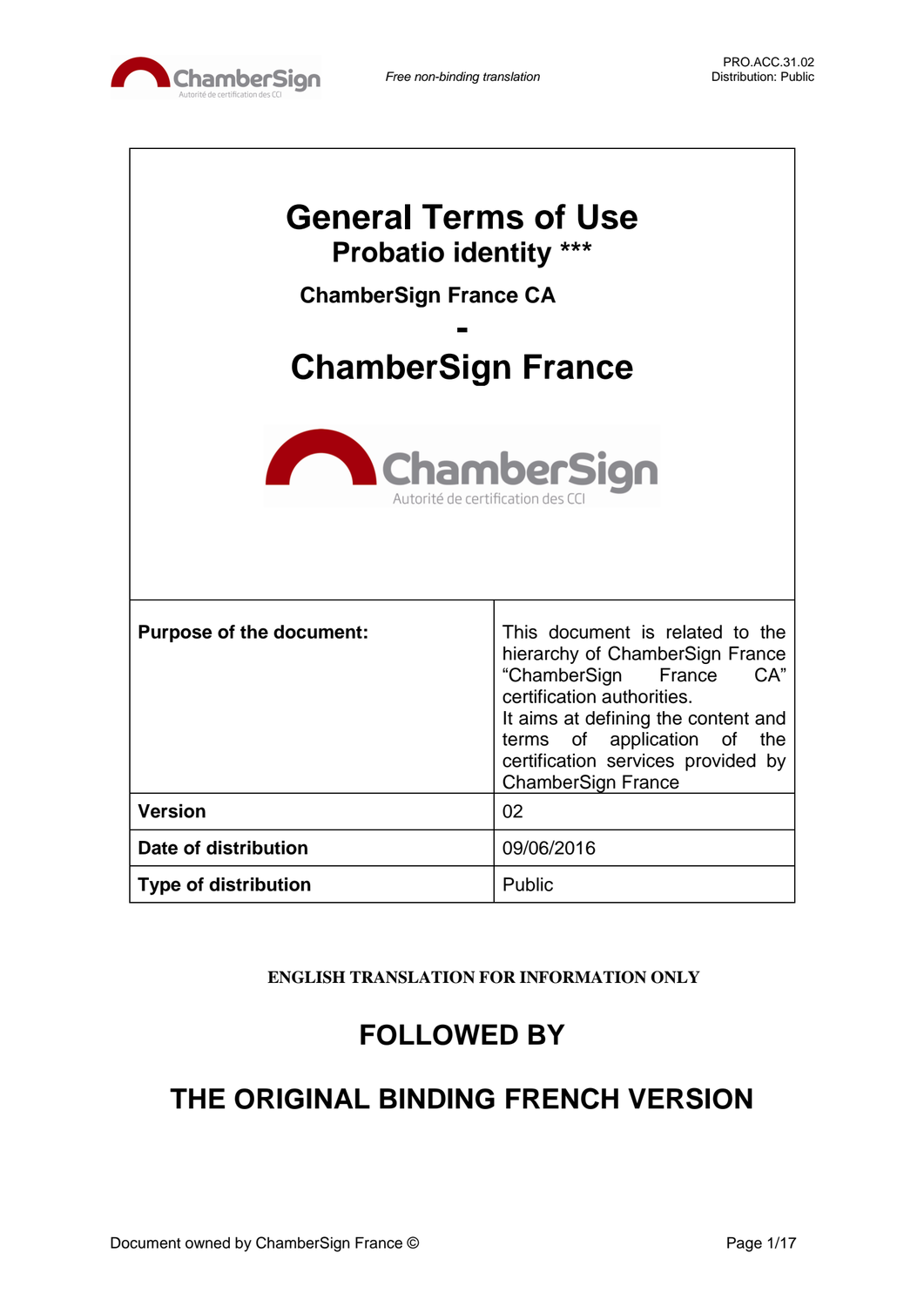

| <b>General Terms of Use</b><br><b>Probatio identity ***</b><br><b>ChamberSign France CA</b><br><b>ChamberSign France</b><br><b>ChamberSign</b><br>Autorité de certification des C |                                                                                                                                                                                                                                                                            |  |  |
|-----------------------------------------------------------------------------------------------------------------------------------------------------------------------------------|----------------------------------------------------------------------------------------------------------------------------------------------------------------------------------------------------------------------------------------------------------------------------|--|--|
| <b>Purpose of the document:</b>                                                                                                                                                   | This document is related to the<br>hierarchy of ChamberSign France<br>CA"<br>"ChamberSign<br>France<br>certification authorities.<br>It aims at defining the content and<br>terms of application of the<br>certification services provided by<br><b>ChamberSign France</b> |  |  |
| <b>Version</b>                                                                                                                                                                    | 02                                                                                                                                                                                                                                                                         |  |  |
| Date of distribution                                                                                                                                                              | 09/06/2016                                                                                                                                                                                                                                                                 |  |  |
| <b>Type of distribution</b>                                                                                                                                                       | Public                                                                                                                                                                                                                                                                     |  |  |

**ENGLISH TRANSLATION FOR INFORMATION ONLY**

# **FOLLOWED BY**

# **THE ORIGINAL BINDING FRENCH VERSION**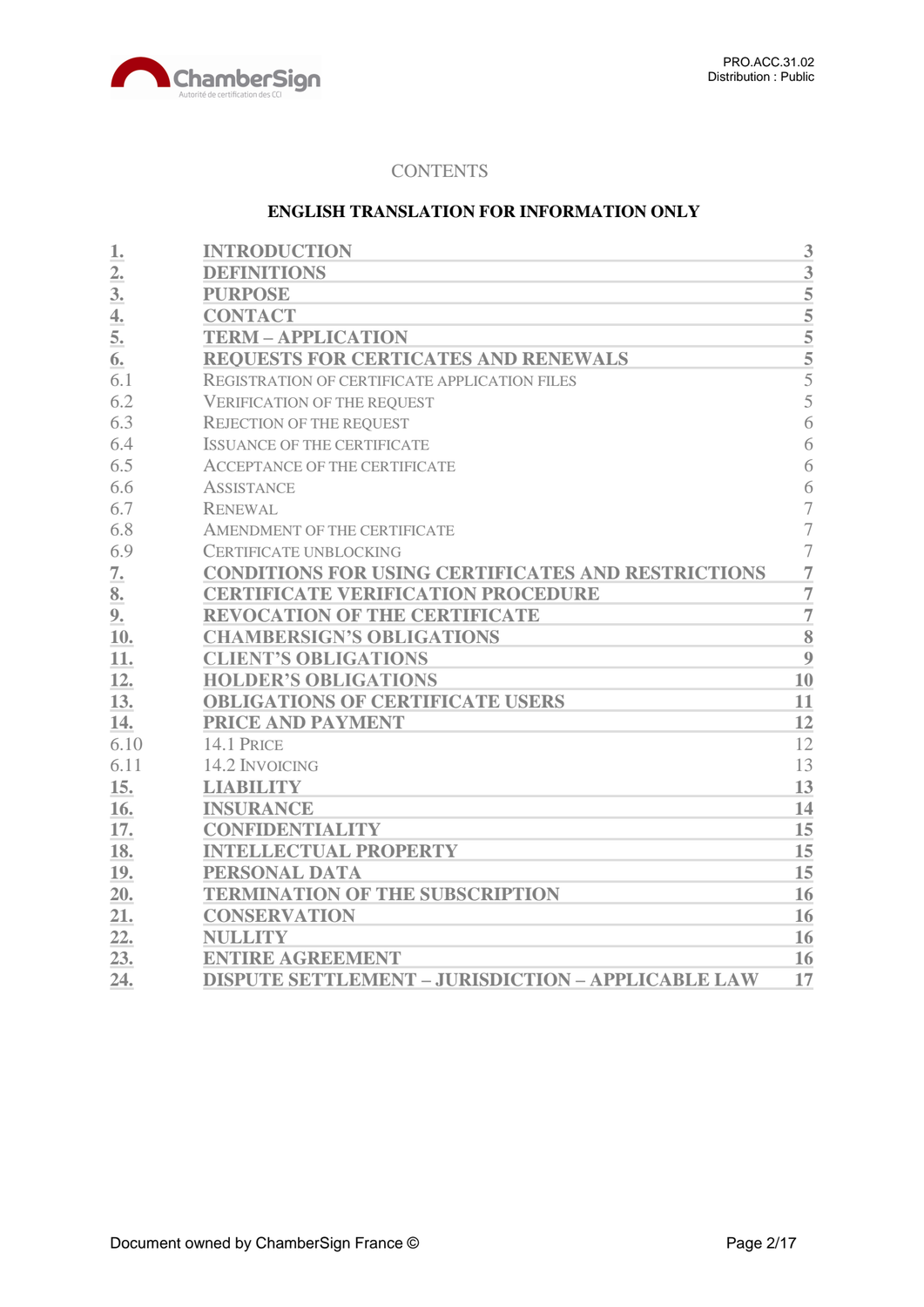

# **CONTENTS**

# **ENGLISH TRANSLATION FOR INFORMATION ONLY**

| 1.               | <b>INTRODUCTION</b>                                       | 3              |
|------------------|-----------------------------------------------------------|----------------|
| $\overline{2}$ . | <b>DEFINITIONS</b>                                        | 3              |
| 3 <sub>l</sub>   | <b>PURPOSE</b>                                            | 5              |
| $\overline{4}$ . | <b>CONTACT</b>                                            | $\overline{5}$ |
| 5.               | <b>TERM - APPLICATION</b>                                 | 5              |
| 6.               | <b>REQUESTS FOR CERTICATES AND RENEWALS</b>               | $\overline{5}$ |
| 6.1              | REGISTRATION OF CERTIFICATE APPLICATION FILES             | 5              |
| 6.2              | <b>VERIFICATION OF THE REQUEST</b>                        | 5              |
| 6.3              | <b>REJECTION OF THE REQUEST</b>                           | 6              |
| 6.4              | <b>ISSUANCE OF THE CERTIFICATE</b>                        | 6              |
| 6.5              | <b>ACCEPTANCE OF THE CERTIFICATE</b>                      | 6              |
| 6.6              | <b>ASSISTANCE</b>                                         | 6              |
| 6.7              | <b>RENEWAL</b>                                            | 7              |
| 6.8              | AMENDMENT OF THE CERTIFICATE                              | $\overline{7}$ |
| 6.9              | <b>CERTIFICATE UNBLOCKING</b>                             | $\overline{7}$ |
| 7.               | CONDITIONS FOR USING CERTIFICATES AND RESTRICTIONS        | $\overline{7}$ |
| 8.               | <b>CERTIFICATE VERIFICATION PROCEDURE</b>                 | $\overline{7}$ |
| 9.               | <b>REVOCATION OF THE CERTIFICATE</b>                      | $\overline{7}$ |
| 10.              | <b>CHAMBERSIGN'S OBLIGATIONS</b>                          | 8              |
| 11.              | <b>CLIENT'S OBLIGATIONS</b>                               | 9              |
| 12.              | <b>HOLDER'S OBLIGATIONS</b>                               | 10             |
| 13.              | <b>OBLIGATIONS OF CERTIFICATE USERS</b>                   | 11             |
| 14.              | PRICE AND PAYMENT                                         | 12             |
| 6.10             | 14.1 PRICE                                                | 12             |
| 6.11             | 14.2 INVOICING                                            | 13             |
| 15.              | <b>LIABILITY</b>                                          | 13             |
| 16.              | <b>INSURANCE</b>                                          | 14             |
| 17.              | <b>CONFIDENTIALITY</b>                                    | 15             |
| 18.              | <b>INTELLECTUAL PROPERTY</b>                              | 15             |
| 19.              | PERSONAL DATA                                             | 15             |
| 20.              | <b>TERMINATION OF THE SUBSCRIPTION</b>                    | 16             |
| 21.              | <b>CONSERVATION</b>                                       | 16             |
| 22.              | <b>NULLITY</b>                                            | 16             |
| 23.              | <b>ENTIRE AGREEMENT</b>                                   | 16             |
| 24.              | <b>DISPUTE SETTLEMENT - JURISDICTION - APPLICABLE LAW</b> | 17             |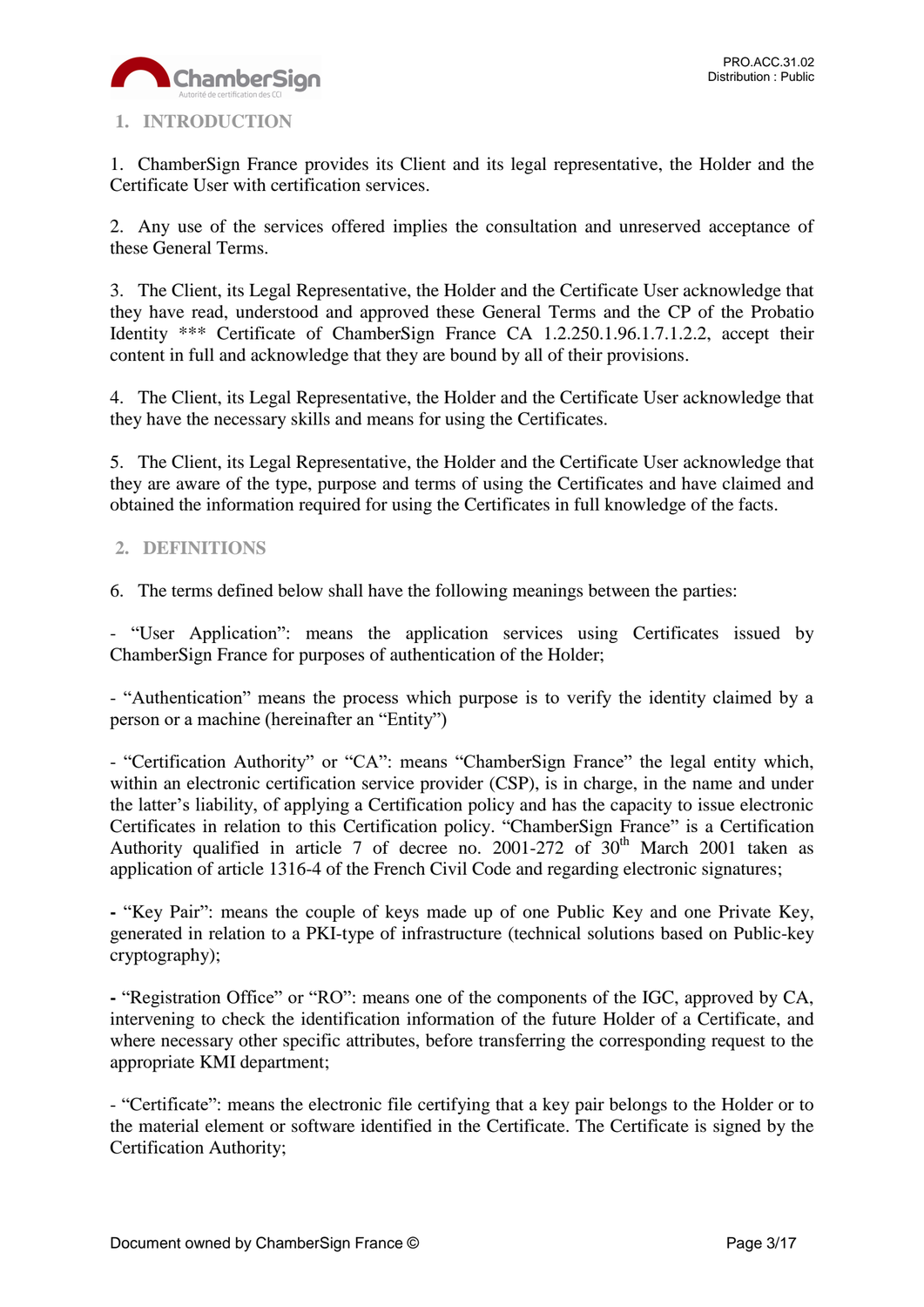

# <span id="page-2-0"></span>**1. INTRODUCTION**

1. ChamberSign France provides its Client and its legal representative, the Holder and the Certificate User with certification services.

2. Any use of the services offered implies the consultation and unreserved acceptance of these General Terms.

3. The Client, its Legal Representative, the Holder and the Certificate User acknowledge that they have read, understood and approved these General Terms and the CP of the Probatio Identity \*\*\* Certificate of ChamberSign France CA 1.2.250.1.96.1.7.1.2.2, accept their content in full and acknowledge that they are bound by all of their provisions.

4. The Client, its Legal Representative, the Holder and the Certificate User acknowledge that they have the necessary skills and means for using the Certificates.

5. The Client, its Legal Representative, the Holder and the Certificate User acknowledge that they are aware of the type, purpose and terms of using the Certificates and have claimed and obtained the information required for using the Certificates in full knowledge of the facts.

# <span id="page-2-1"></span>**2. DEFINITIONS**

6. The terms defined below shall have the following meanings between the parties:

- "User Application": means the application services using Certificates issued by ChamberSign France for purposes of authentication of the Holder;

- "Authentication" means the process which purpose is to verify the identity claimed by a person or a machine (hereinafter an "Entity")

- "Certification Authority" or "CA": means "ChamberSign France" the legal entity which, within an electronic certification service provider (CSP), is in charge, in the name and under the latter's liability, of applying a Certification policy and has the capacity to issue electronic Certificates in relation to this Certification policy. "ChamberSign France" is a Certification Authority qualified in article 7 of decree no. 2001-272 of  $30<sup>th</sup>$  March 2001 taken as application of article 1316-4 of the French Civil Code and regarding electronic signatures;

**-** "Key Pair": means the couple of keys made up of one Public Key and one Private Key, generated in relation to a PKI-type of infrastructure (technical solutions based on Public-key cryptography);

**-** "Registration Office" or "RO": means one of the components of the IGC, approved by CA, intervening to check the identification information of the future Holder of a Certificate, and where necessary other specific attributes, before transferring the corresponding request to the appropriate KMI department;

- "Certificate": means the electronic file certifying that a key pair belongs to the Holder or to the material element or software identified in the Certificate. The Certificate is signed by the Certification Authority;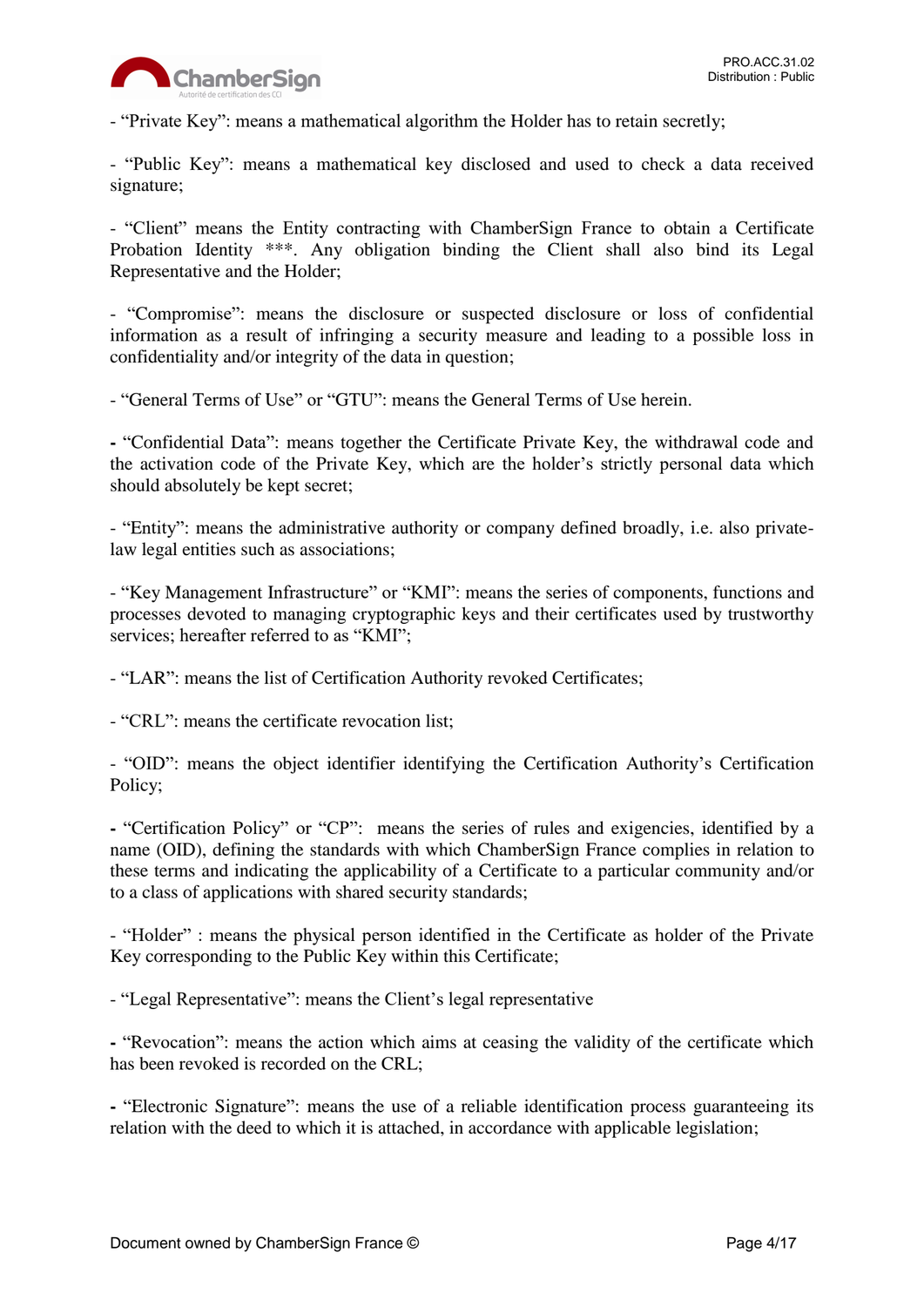

- "Private Key": means a mathematical algorithm the Holder has to retain secretly;

- "Public Key": means a mathematical key disclosed and used to check a data received signature;

- "Client" means the Entity contracting with ChamberSign France to obtain a Certificate Probation Identity \*\*\*. Any obligation binding the Client shall also bind its Legal Representative and the Holder;

- "Compromise": means the disclosure or suspected disclosure or loss of confidential information as a result of infringing a security measure and leading to a possible loss in confidentiality and/or integrity of the data in question;

- "General Terms of Use" or "GTU": means the General Terms of Use herein.

**-** "Confidential Data": means together the Certificate Private Key, the withdrawal code and the activation code of the Private Key, which are the holder's strictly personal data which should absolutely be kept secret;

- "Entity": means the administrative authority or company defined broadly, i.e. also privatelaw legal entities such as associations;

- "Key Management Infrastructure" or "KMI": means the series of components, functions and processes devoted to managing cryptographic keys and their certificates used by trustworthy services; hereafter referred to as "KMI";

- "LAR": means the list of Certification Authority revoked Certificates;

- "CRL": means the certificate revocation list;

- "OID": means the object identifier identifying the Certification Authority's Certification Policy;

**-** "Certification Policy" or "CP": means the series of rules and exigencies, identified by a name (OID), defining the standards with which ChamberSign France complies in relation to these terms and indicating the applicability of a Certificate to a particular community and/or to a class of applications with shared security standards;

- "Holder" : means the physical person identified in the Certificate as holder of the Private Key corresponding to the Public Key within this Certificate;

- "Legal Representative": means the Client's legal representative

**-** "Revocation": means the action which aims at ceasing the validity of the certificate which has been revoked is recorded on the CRL;

**-** "Electronic Signature": means the use of a reliable identification process guaranteeing its relation with the deed to which it is attached, in accordance with applicable legislation;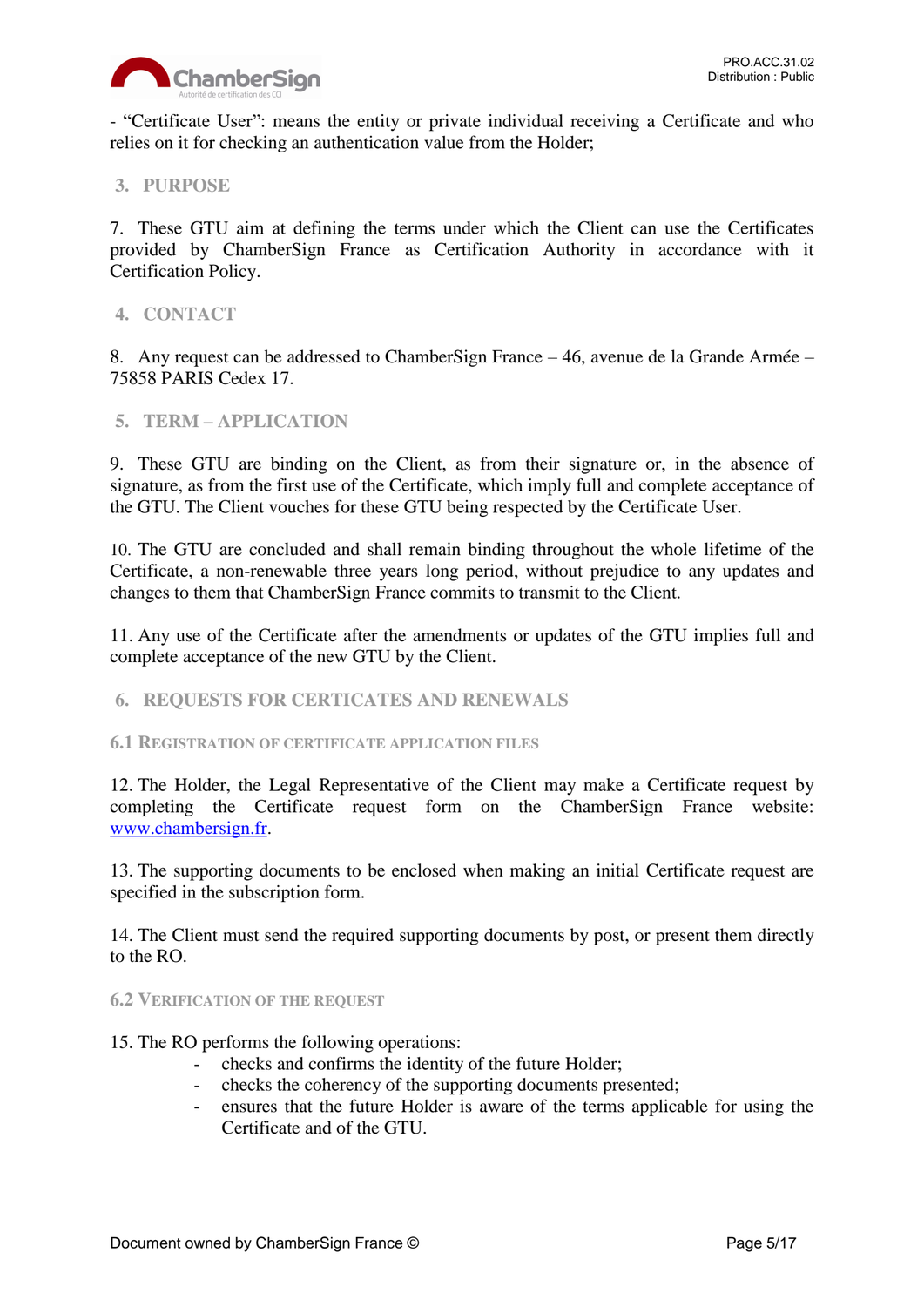

- "Certificate User": means the entity or private individual receiving a Certificate and who relies on it for checking an authentication value from the Holder;

# <span id="page-4-0"></span>**3. PURPOSE**

7. These GTU aim at defining the terms under which the Client can use the Certificates provided by ChamberSign France as Certification Authority in accordance with it Certification Policy.

## <span id="page-4-1"></span>**4. CONTACT**

8. Any request can be addressed to ChamberSign France – 46, avenue de la Grande Armée – 75858 PARIS Cedex 17.

#### <span id="page-4-2"></span>**5. TERM – APPLICATION**

9. These GTU are binding on the Client, as from their signature or, in the absence of signature, as from the first use of the Certificate, which imply full and complete acceptance of the GTU. The Client vouches for these GTU being respected by the Certificate User.

10. The GTU are concluded and shall remain binding throughout the whole lifetime of the Certificate, a non-renewable three years long period, without prejudice to any updates and changes to them that ChamberSign France commits to transmit to the Client.

11. Any use of the Certificate after the amendments or updates of the GTU implies full and complete acceptance of the new GTU by the Client.

#### <span id="page-4-3"></span>**6. REQUESTS FOR CERTICATES AND RENEWALS**

<span id="page-4-4"></span>**6.1 REGISTRATION OF CERTIFICATE APPLICATION FILES**

12. The Holder, the Legal Representative of the Client may make a Certificate request by completing the Certificate request form on the ChamberSign France website: [www.chambersign.fr.](http://www.chambersign.fr/)

13. The supporting documents to be enclosed when making an initial Certificate request are specified in the subscription form.

14. The Client must send the required supporting documents by post, or present them directly to the RO.

#### <span id="page-4-5"></span>**6.2 VERIFICATION OF THE REQUEST**

- 15. The RO performs the following operations:
	- checks and confirms the identity of the future Holder;
	- checks the coherency of the supporting documents presented;
	- ensures that the future Holder is aware of the terms applicable for using the Certificate and of the GTU.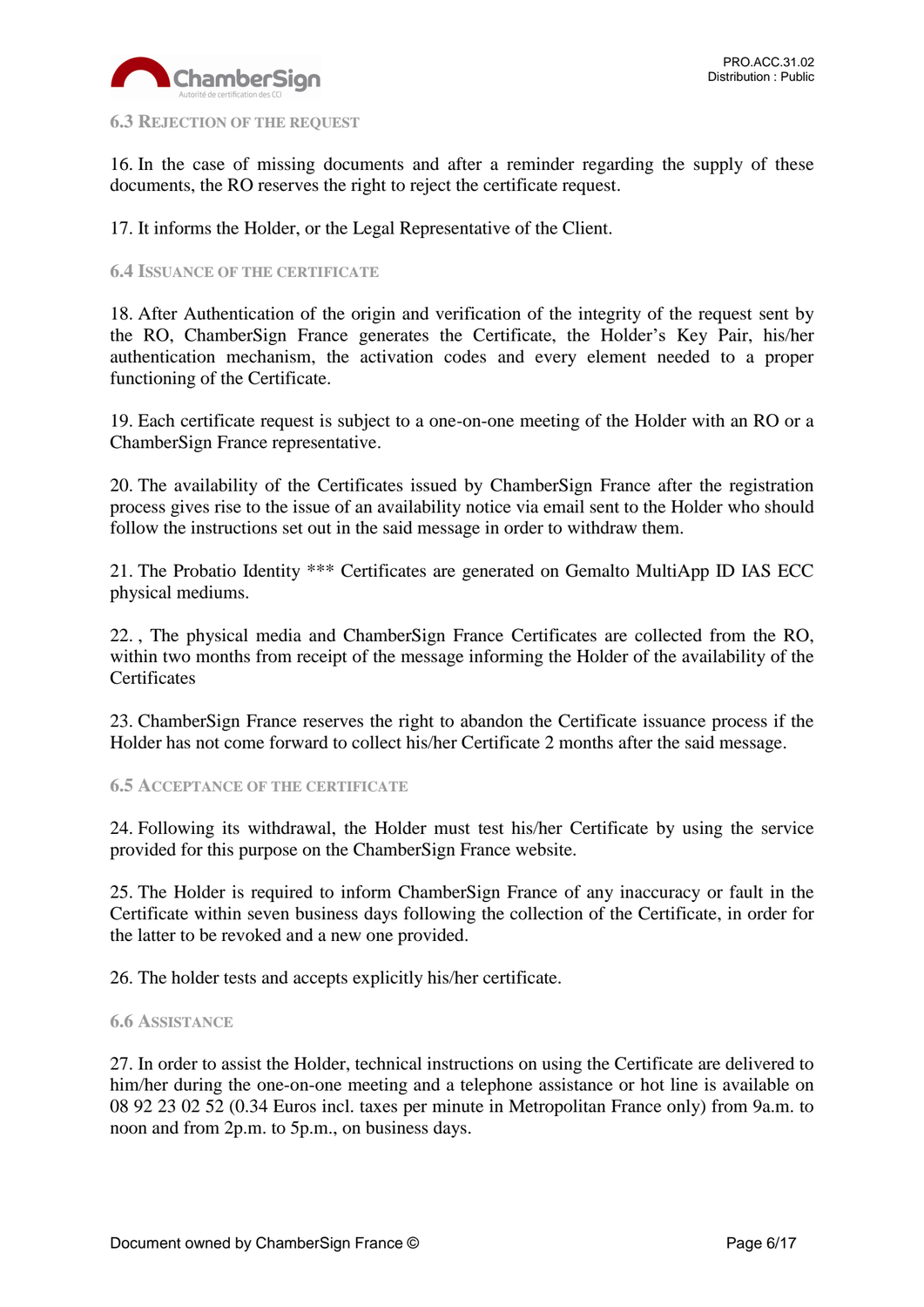

#### <span id="page-5-0"></span>**6.3 REJECTION OF THE REQUEST**

16. In the case of missing documents and after a reminder regarding the supply of these documents, the RO reserves the right to reject the certificate request.

17. It informs the Holder, or the Legal Representative of the Client.

#### <span id="page-5-1"></span>**6.4 ISSUANCE OF THE CERTIFICATE**

18. After Authentication of the origin and verification of the integrity of the request sent by the RO, ChamberSign France generates the Certificate, the Holder's Key Pair, his/her authentication mechanism, the activation codes and every element needed to a proper functioning of the Certificate.

19. Each certificate request is subject to a one-on-one meeting of the Holder with an RO or a ChamberSign France representative.

20. The availability of the Certificates issued by ChamberSign France after the registration process gives rise to the issue of an availability notice via email sent to the Holder who should follow the instructions set out in the said message in order to withdraw them.

21. The Probatio Identity \*\*\* Certificates are generated on Gemalto MultiApp ID IAS ECC physical mediums.

22. , The physical media and ChamberSign France Certificates are collected from the RO, within two months from receipt of the message informing the Holder of the availability of the **Certificates** 

23. ChamberSign France reserves the right to abandon the Certificate issuance process if the Holder has not come forward to collect his/her Certificate 2 months after the said message.

<span id="page-5-2"></span>**6.5 ACCEPTANCE OF THE CERTIFICATE**

24. Following its withdrawal, the Holder must test his/her Certificate by using the service provided for this purpose on the ChamberSign France website.

25. The Holder is required to inform ChamberSign France of any inaccuracy or fault in the Certificate within seven business days following the collection of the Certificate, in order for the latter to be revoked and a new one provided.

26. The holder tests and accepts explicitly his/her certificate.

#### <span id="page-5-3"></span>**6.6 ASSISTANCE**

27. In order to assist the Holder, technical instructions on using the Certificate are delivered to him/her during the one-on-one meeting and a telephone assistance or hot line is available on 08 92 23 02 52 (0.34 Euros incl. taxes per minute in Metropolitan France only) from 9a.m. to noon and from 2p.m. to 5p.m., on business days.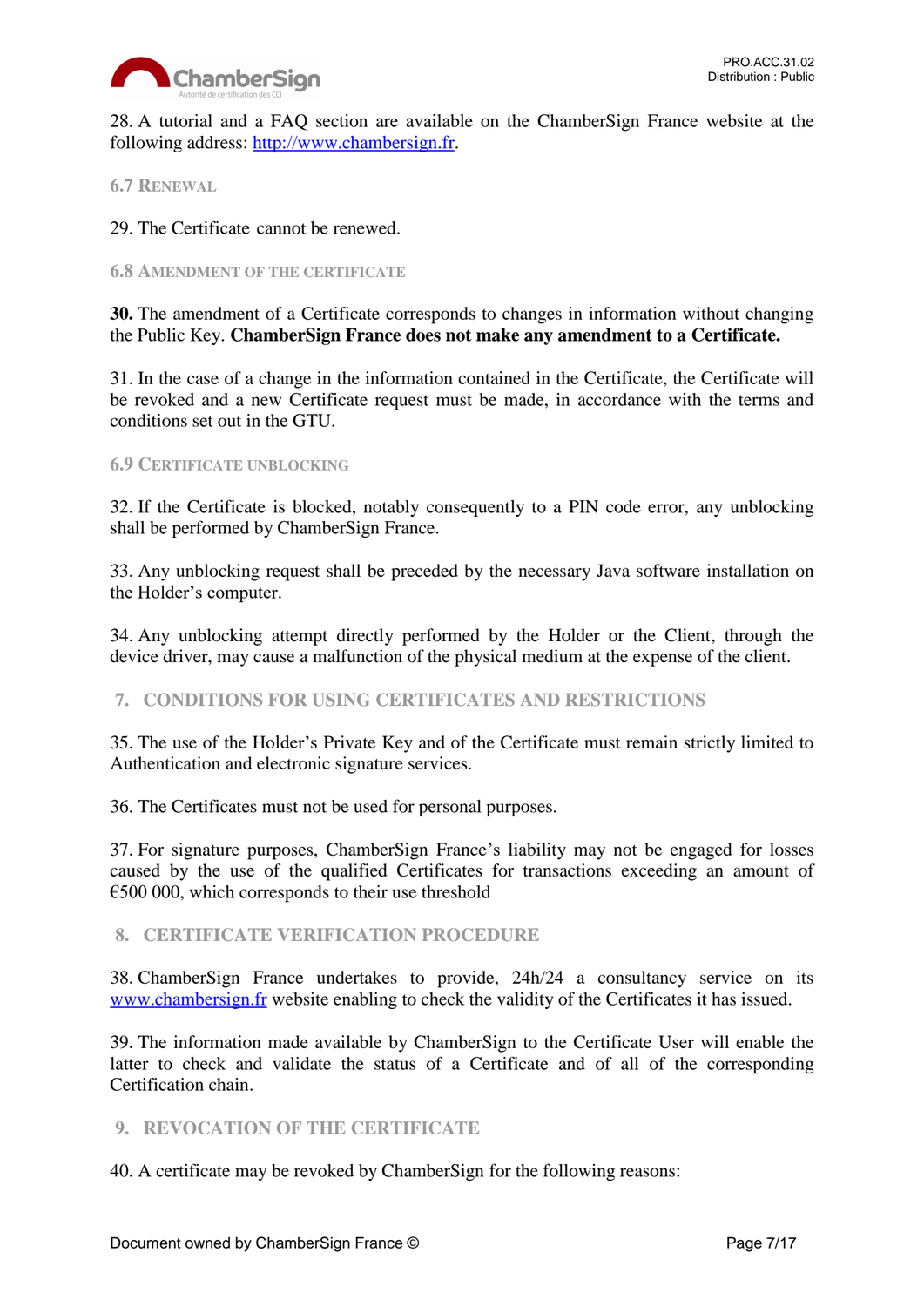

28. A tutorial and a FAQ section are available on the ChamberSign France website at the following address: [http://www.chambersign.fr.](http://www.chambersign.fr/)

## <span id="page-6-0"></span>**6.7 RENEWAL**

29. The Certificate cannot be renewed.

#### <span id="page-6-1"></span>**6.8 AMENDMENT OF THE CERTIFICATE**

**30.** The amendment of a Certificate corresponds to changes in information without changing the Public Key. **ChamberSign France does not make any amendment to a Certificate.** 

31. In the case of a change in the information contained in the Certificate, the Certificate will be revoked and a new Certificate request must be made, in accordance with the terms and conditions set out in the GTU.

#### <span id="page-6-2"></span>**6.9 CERTIFICATE UNBLOCKING**

32. If the Certificate is blocked, notably consequently to a PIN code error, any unblocking shall be performed by ChamberSign France.

33. Any unblocking request shall be preceded by the necessary Java software installation on the Holder's computer.

34. Any unblocking attempt directly performed by the Holder or the Client, through the device driver, may cause a malfunction of the physical medium at the expense of the client.

## <span id="page-6-3"></span>**7. CONDITIONS FOR USING CERTIFICATES AND RESTRICTIONS**

35. The use of the Holder's Private Key and of the Certificate must remain strictly limited to Authentication and electronic signature services.

36. The Certificates must not be used for personal purposes.

37. For signature purposes, ChamberSign France's liability may not be engaged for losses caused by the use of the qualified Certificates for transactions exceeding an amount of  $\epsilon$ 500 000, which corresponds to their use threshold

## <span id="page-6-4"></span>**8. CERTIFICATE VERIFICATION PROCEDURE**

38. ChamberSign France undertakes to provide, 24h/24 a consultancy service on its [www.chambersign.fr](http://www.chambersign.fr/) website enabling to check the validity of the Certificates it has issued.

39. The information made available by ChamberSign to the Certificate User will enable the latter to check and validate the status of a Certificate and of all of the corresponding Certification chain.

## <span id="page-6-5"></span>**9. REVOCATION OF THE CERTIFICATE**

40. A certificate may be revoked by ChamberSign for the following reasons: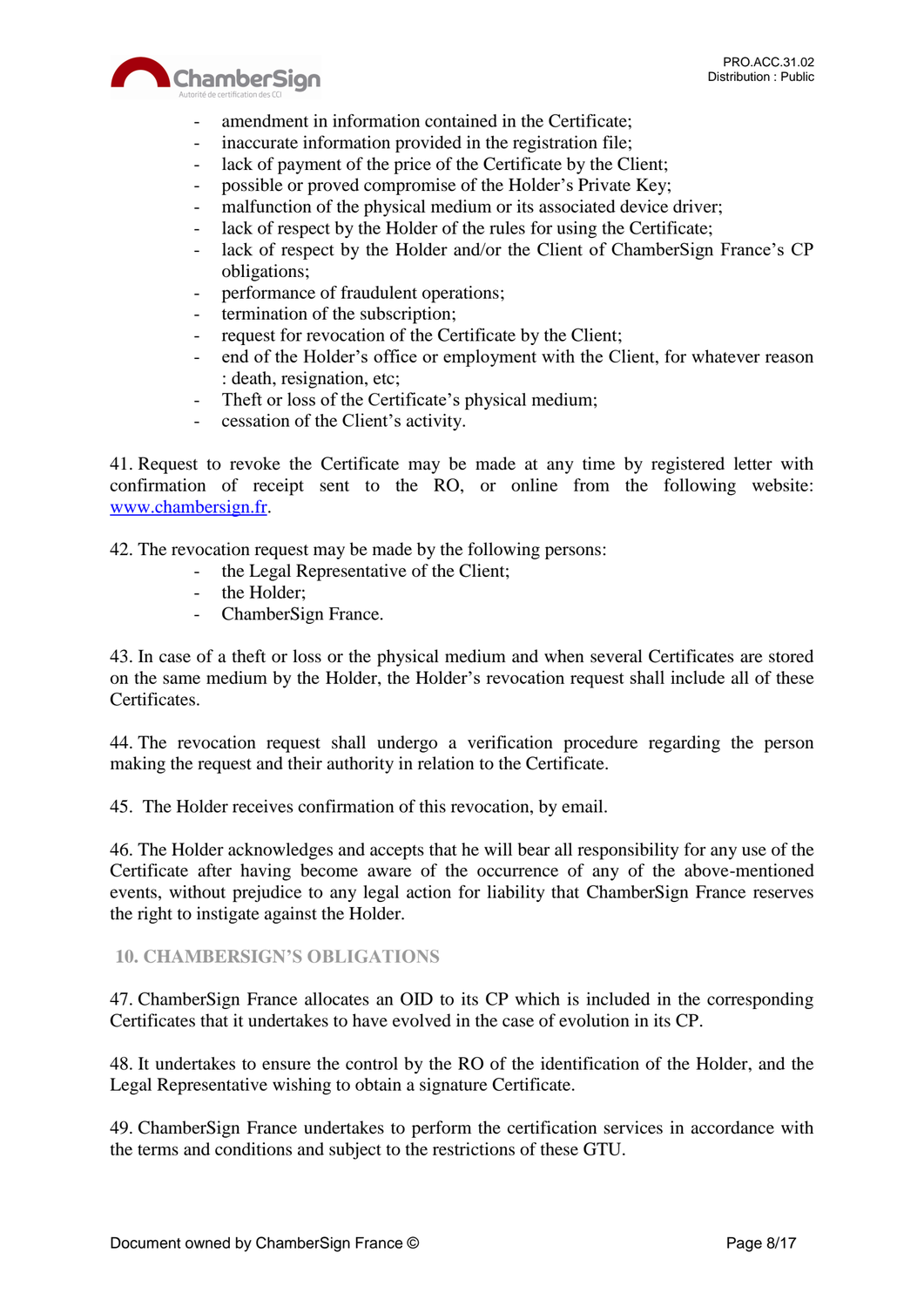



- amendment in information contained in the Certificate;
- inaccurate information provided in the registration file;
- lack of payment of the price of the Certificate by the Client;
- possible or proved compromise of the Holder's Private Key;
- malfunction of the physical medium or its associated device driver;
- lack of respect by the Holder of the rules for using the Certificate;
- lack of respect by the Holder and/or the Client of ChamberSign France's CP obligations;
- performance of fraudulent operations;
- termination of the subscription;
- request for revocation of the Certificate by the Client;
- end of the Holder's office or employment with the Client, for whatever reason : death, resignation, etc;
- Theft or loss of the Certificate's physical medium;
- cessation of the Client's activity.

41. Request to revoke the Certificate may be made at any time by registered letter with confirmation of receipt sent to the RO, or online from the following website: [www.chambersign.fr.](http://www.chambersign.fr/)

42. The revocation request may be made by the following persons:

- the Legal Representative of the Client;
- the Holder:
- ChamberSign France.

43. In case of a theft or loss or the physical medium and when several Certificates are stored on the same medium by the Holder, the Holder's revocation request shall include all of these Certificates.

44. The revocation request shall undergo a verification procedure regarding the person making the request and their authority in relation to the Certificate.

45. The Holder receives confirmation of this revocation, by email.

46. The Holder acknowledges and accepts that he will bear all responsibility for any use of the Certificate after having become aware of the occurrence of any of the above-mentioned events, without prejudice to any legal action for liability that ChamberSign France reserves the right to instigate against the Holder.

## <span id="page-7-0"></span>**10. CHAMBERSIGN'S OBLIGATIONS**

47. ChamberSign France allocates an OID to its CP which is included in the corresponding Certificates that it undertakes to have evolved in the case of evolution in its CP.

48. It undertakes to ensure the control by the RO of the identification of the Holder, and the Legal Representative wishing to obtain a signature Certificate.

49. ChamberSign France undertakes to perform the certification services in accordance with the terms and conditions and subject to the restrictions of these GTU.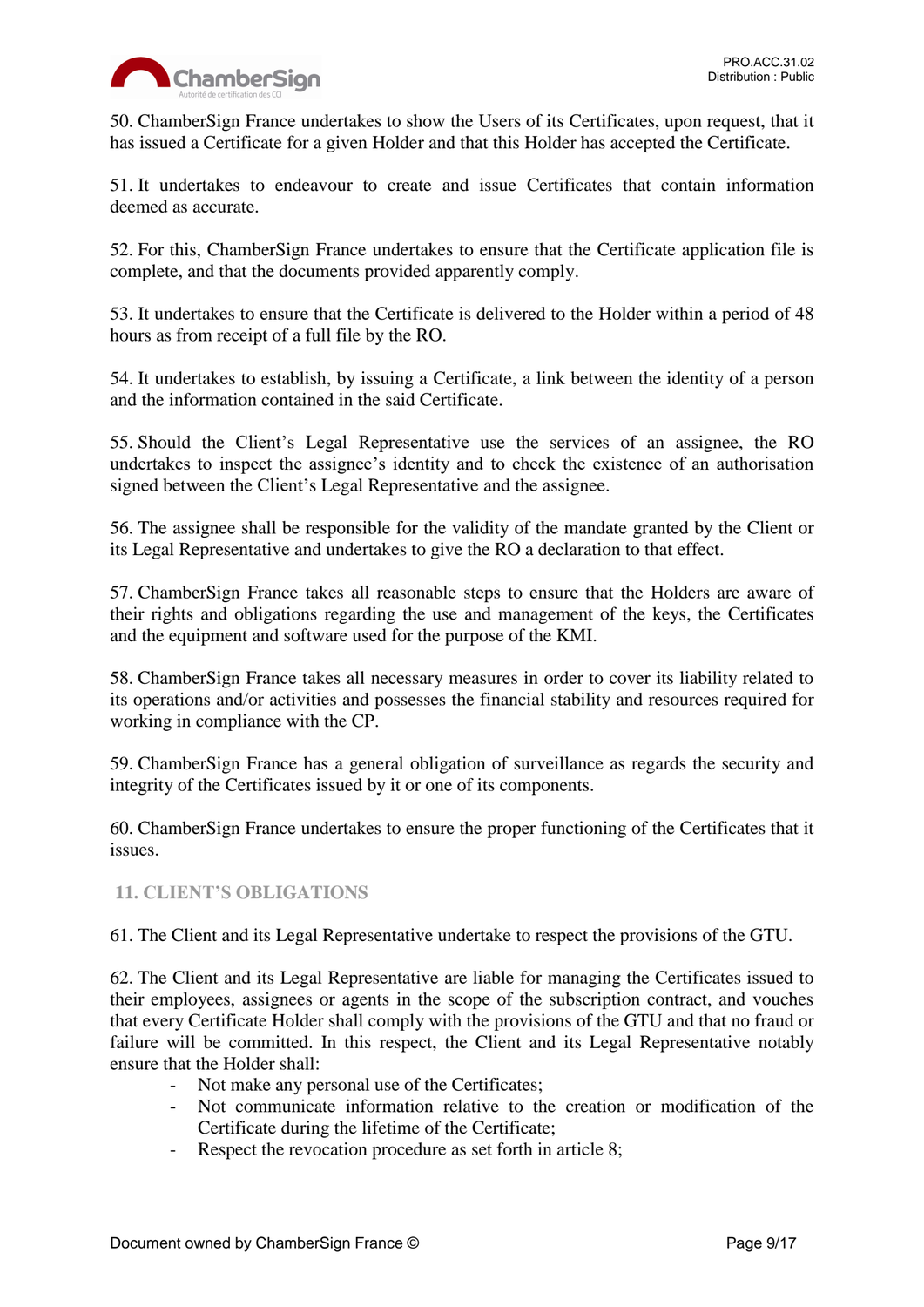

50. ChamberSign France undertakes to show the Users of its Certificates, upon request, that it has issued a Certificate for a given Holder and that this Holder has accepted the Certificate.

51. It undertakes to endeavour to create and issue Certificates that contain information deemed as accurate.

52. For this, ChamberSign France undertakes to ensure that the Certificate application file is complete, and that the documents provided apparently comply.

53. It undertakes to ensure that the Certificate is delivered to the Holder within a period of 48 hours as from receipt of a full file by the RO.

54. It undertakes to establish, by issuing a Certificate, a link between the identity of a person and the information contained in the said Certificate.

55. Should the Client's Legal Representative use the services of an assignee, the RO undertakes to inspect the assignee's identity and to check the existence of an authorisation signed between the Client's Legal Representative and the assignee.

56. The assignee shall be responsible for the validity of the mandate granted by the Client or its Legal Representative and undertakes to give the RO a declaration to that effect.

57. ChamberSign France takes all reasonable steps to ensure that the Holders are aware of their rights and obligations regarding the use and management of the keys, the Certificates and the equipment and software used for the purpose of the KMI.

58. ChamberSign France takes all necessary measures in order to cover its liability related to its operations and/or activities and possesses the financial stability and resources required for working in compliance with the CP.

59. ChamberSign France has a general obligation of surveillance as regards the security and integrity of the Certificates issued by it or one of its components.

60. ChamberSign France undertakes to ensure the proper functioning of the Certificates that it issues.

# <span id="page-8-0"></span>**11. CLIENT'S OBLIGATIONS**

61. The Client and its Legal Representative undertake to respect the provisions of the GTU.

62. The Client and its Legal Representative are liable for managing the Certificates issued to their employees, assignees or agents in the scope of the subscription contract, and vouches that every Certificate Holder shall comply with the provisions of the GTU and that no fraud or failure will be committed. In this respect, the Client and its Legal Representative notably ensure that the Holder shall:

- Not make any personal use of the Certificates;
- Not communicate information relative to the creation or modification of the Certificate during the lifetime of the Certificate;
- Respect the revocation procedure as set forth in article 8;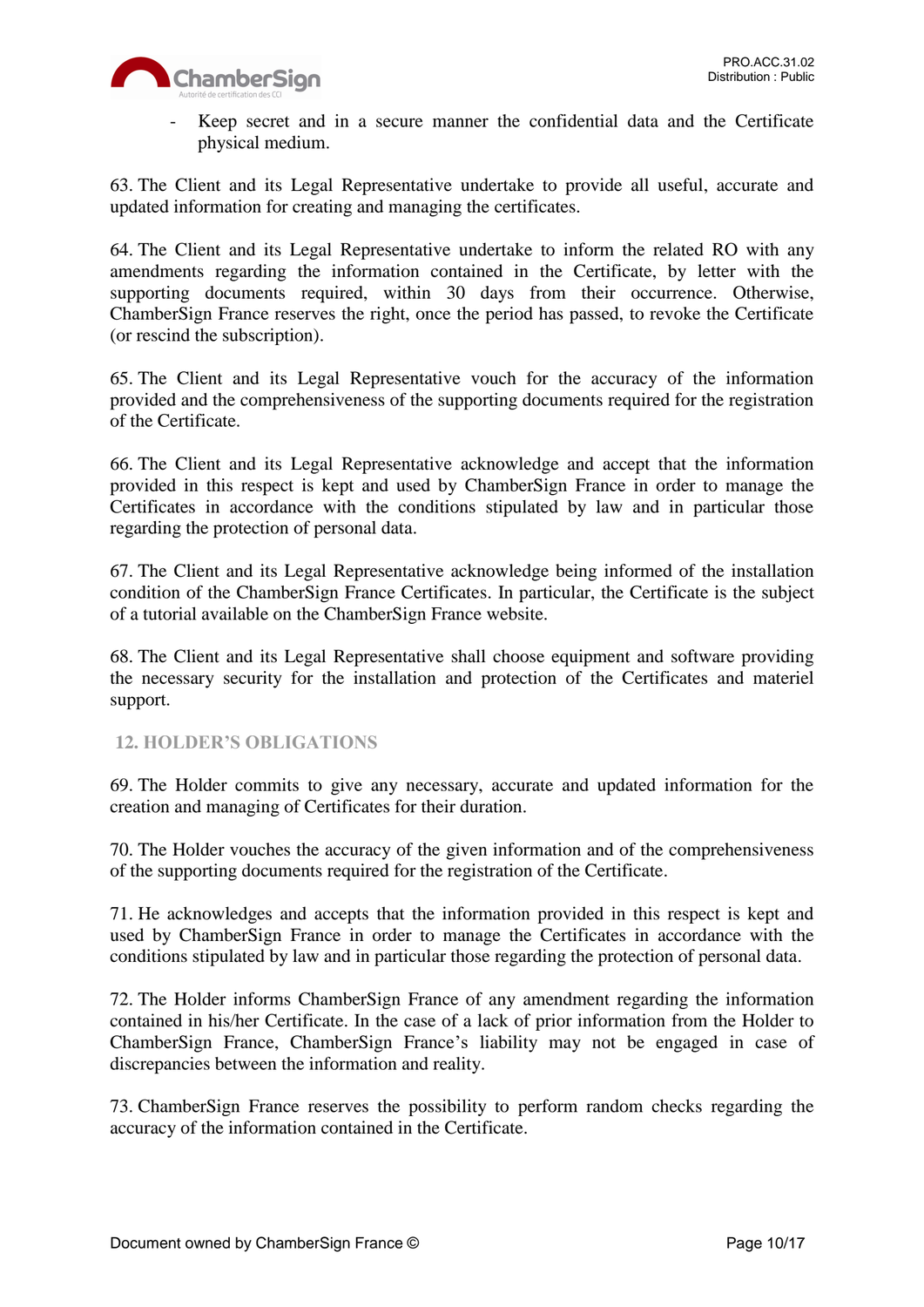

- Keep secret and in a secure manner the confidential data and the Certificate physical medium.

63. The Client and its Legal Representative undertake to provide all useful, accurate and updated information for creating and managing the certificates.

64. The Client and its Legal Representative undertake to inform the related RO with any amendments regarding the information contained in the Certificate, by letter with the supporting documents required, within 30 days from their occurrence. Otherwise, ChamberSign France reserves the right, once the period has passed, to revoke the Certificate (or rescind the subscription).

65. The Client and its Legal Representative vouch for the accuracy of the information provided and the comprehensiveness of the supporting documents required for the registration of the Certificate.

66. The Client and its Legal Representative acknowledge and accept that the information provided in this respect is kept and used by ChamberSign France in order to manage the Certificates in accordance with the conditions stipulated by law and in particular those regarding the protection of personal data.

67. The Client and its Legal Representative acknowledge being informed of the installation condition of the ChamberSign France Certificates. In particular, the Certificate is the subject of a tutorial available on the ChamberSign France website.

68. The Client and its Legal Representative shall choose equipment and software providing the necessary security for the installation and protection of the Certificates and materiel support.

## <span id="page-9-0"></span>**12. HOLDER'S OBLIGATIONS**

69. The Holder commits to give any necessary, accurate and updated information for the creation and managing of Certificates for their duration.

70. The Holder vouches the accuracy of the given information and of the comprehensiveness of the supporting documents required for the registration of the Certificate.

71. He acknowledges and accepts that the information provided in this respect is kept and used by ChamberSign France in order to manage the Certificates in accordance with the conditions stipulated by law and in particular those regarding the protection of personal data.

72. The Holder informs ChamberSign France of any amendment regarding the information contained in his/her Certificate. In the case of a lack of prior information from the Holder to ChamberSign France, ChamberSign France's liability may not be engaged in case of discrepancies between the information and reality.

73. ChamberSign France reserves the possibility to perform random checks regarding the accuracy of the information contained in the Certificate.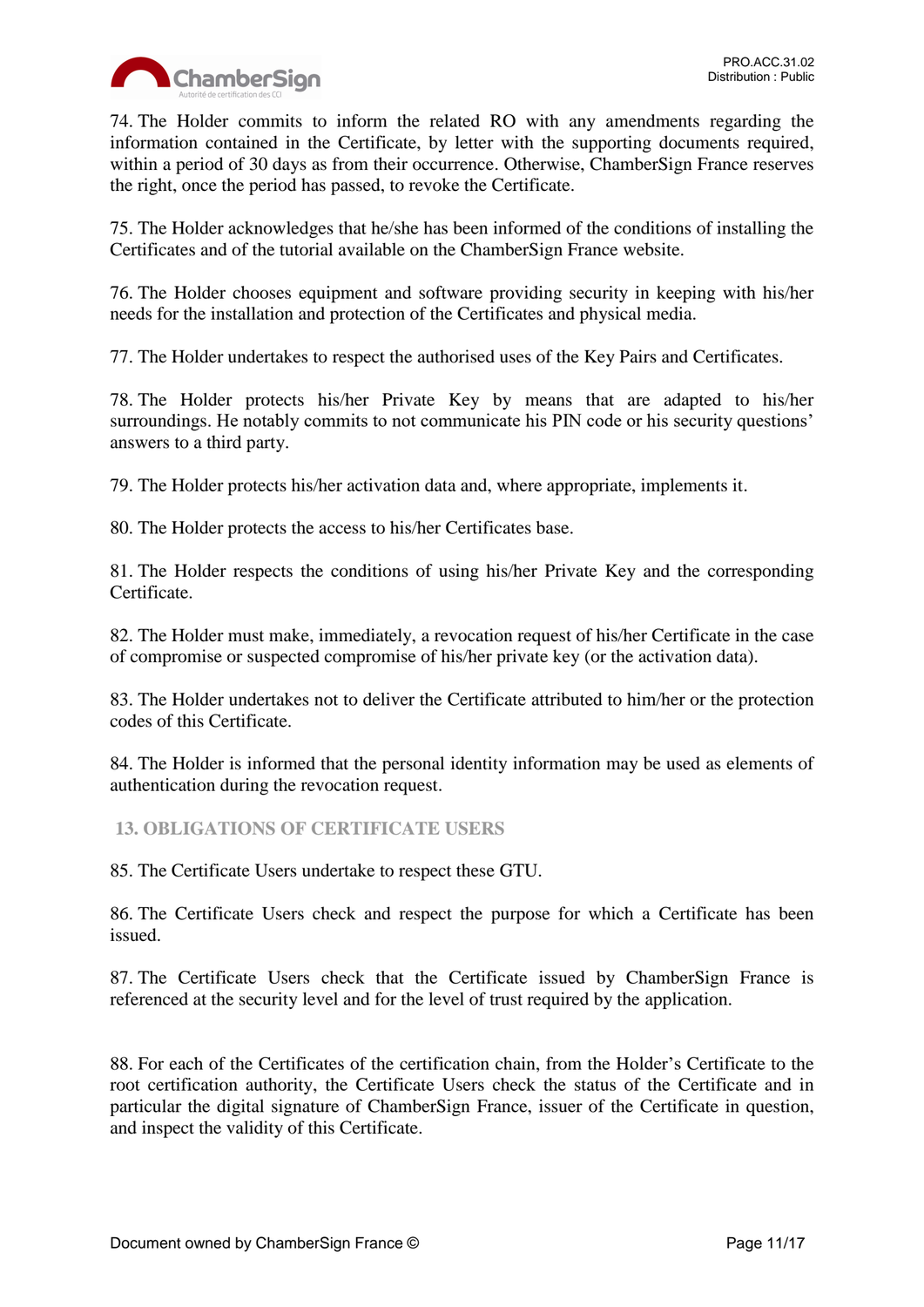

74. The Holder commits to inform the related RO with any amendments regarding the information contained in the Certificate, by letter with the supporting documents required, within a period of 30 days as from their occurrence. Otherwise, ChamberSign France reserves the right, once the period has passed, to revoke the Certificate.

75. The Holder acknowledges that he/she has been informed of the conditions of installing the Certificates and of the tutorial available on the ChamberSign France website.

76. The Holder chooses equipment and software providing security in keeping with his/her needs for the installation and protection of the Certificates and physical media.

77. The Holder undertakes to respect the authorised uses of the Key Pairs and Certificates.

78. The Holder protects his/her Private Key by means that are adapted to his/her surroundings. He notably commits to not communicate his PIN code or his security questions' answers to a third party.

79. The Holder protects his/her activation data and, where appropriate, implements it.

80. The Holder protects the access to his/her Certificates base.

81. The Holder respects the conditions of using his/her Private Key and the corresponding Certificate.

82. The Holder must make, immediately, a revocation request of his/her Certificate in the case of compromise or suspected compromise of his/her private key (or the activation data).

83. The Holder undertakes not to deliver the Certificate attributed to him/her or the protection codes of this Certificate.

84. The Holder is informed that the personal identity information may be used as elements of authentication during the revocation request.

<span id="page-10-0"></span>**13. OBLIGATIONS OF CERTIFICATE USERS**

85. The Certificate Users undertake to respect these GTU.

86. The Certificate Users check and respect the purpose for which a Certificate has been issued.

87. The Certificate Users check that the Certificate issued by ChamberSign France is referenced at the security level and for the level of trust required by the application.

88. For each of the Certificates of the certification chain, from the Holder's Certificate to the root certification authority, the Certificate Users check the status of the Certificate and in particular the digital signature of ChamberSign France, issuer of the Certificate in question, and inspect the validity of this Certificate.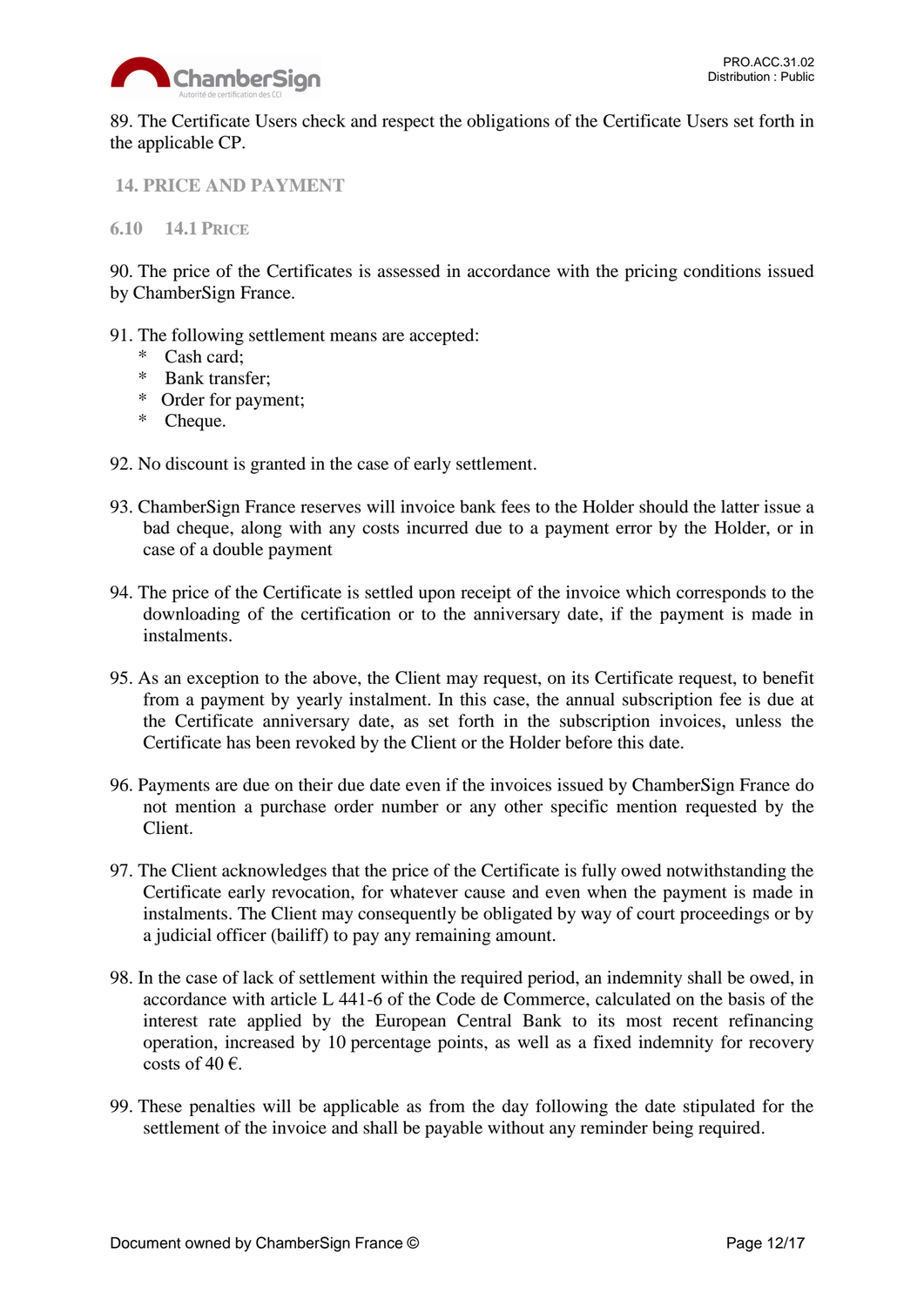

89. The Certificate Users check and respect the obligations of the Certificate Users set forth in the applicable CP.

<span id="page-11-0"></span>**14. PRICE AND PAYMENT**

<span id="page-11-1"></span>**6.10 14.1 PRICE**

90. The price of the Certificates is assessed in accordance with the pricing conditions issued by ChamberSign France.

- 91. The following settlement means are accepted:
	- \* Cash card;
	- \* Bank transfer;
	- \* Order for payment;
	- \* Cheque.
- 92. No discount is granted in the case of early settlement.
- 93. ChamberSign France reserves will invoice bank fees to the Holder should the latter issue a bad cheque, along with any costs incurred due to a payment error by the Holder, or in case of a double payment
- 94. The price of the Certificate is settled upon receipt of the invoice which corresponds to the downloading of the certification or to the anniversary date, if the payment is made in instalments.
- 95. As an exception to the above, the Client may request, on its Certificate request, to benefit from a payment by yearly instalment. In this case, the annual subscription fee is due at the Certificate anniversary date, as set forth in the subscription invoices, unless the Certificate has been revoked by the Client or the Holder before this date.
- 96. Payments are due on their due date even if the invoices issued by ChamberSign France do not mention a purchase order number or any other specific mention requested by the Client.
- 97. The Client acknowledges that the price of the Certificate is fully owed notwithstanding the Certificate early revocation, for whatever cause and even when the payment is made in instalments. The Client may consequently be obligated by way of court proceedings or by a judicial officer (bailiff) to pay any remaining amount.
- 98. In the case of lack of settlement within the required period, an indemnity shall be owed, in accordance with article L 441-6 of the Code de Commerce, calculated on the basis of the interest rate applied by the European Central Bank to its most recent refinancing operation, increased by 10 percentage points, as well as a fixed indemnity for recovery costs of 40 $\epsilon$ .
- 99. These penalties will be applicable as from the day following the date stipulated for the settlement of the invoice and shall be payable without any reminder being required.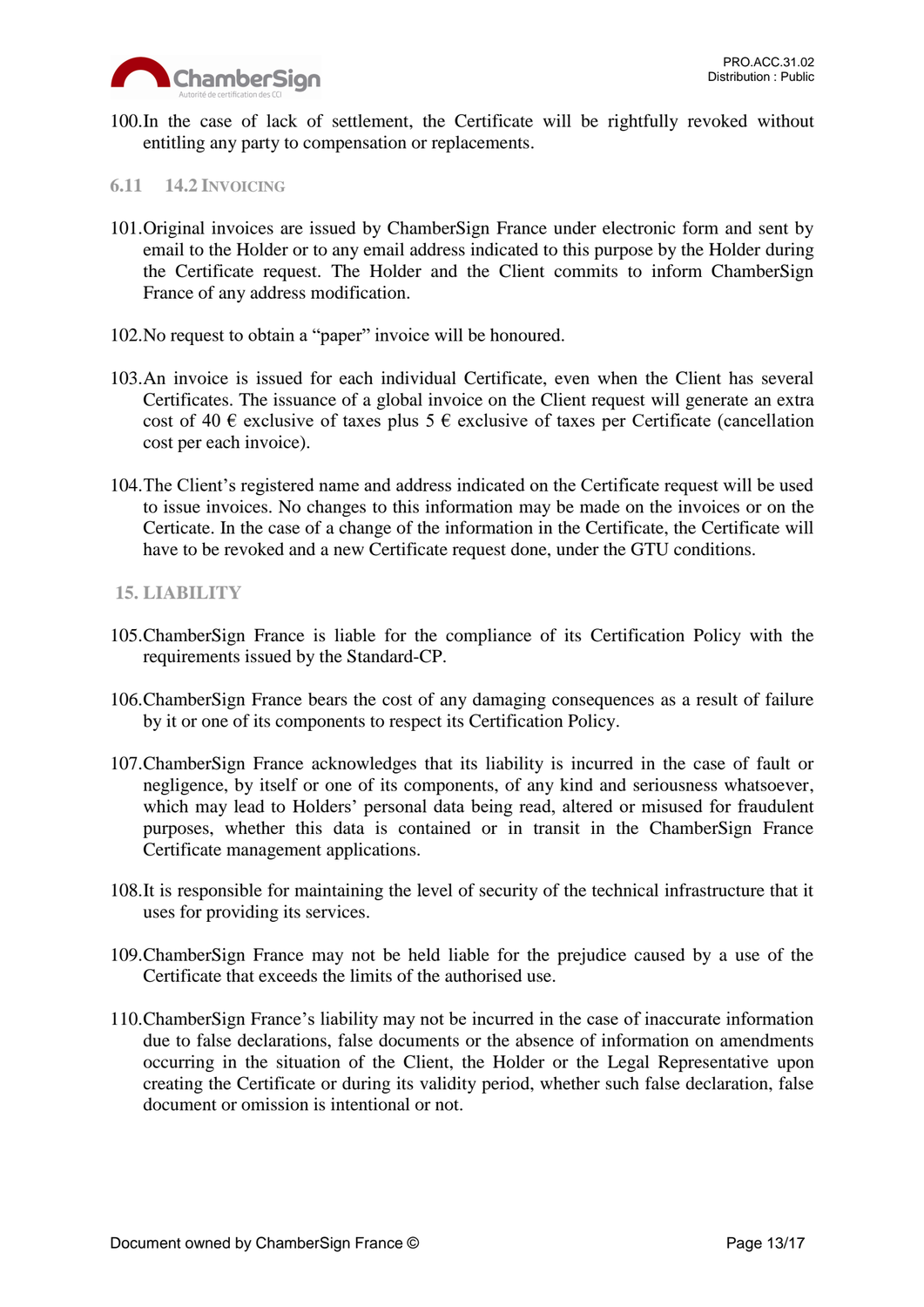

100.In the case of lack of settlement, the Certificate will be rightfully revoked without entitling any party to compensation or replacements.

#### <span id="page-12-0"></span>**6.11 14.2 INVOICING**

- 101.Original invoices are issued by ChamberSign France under electronic form and sent by email to the Holder or to any email address indicated to this purpose by the Holder during the Certificate request. The Holder and the Client commits to inform ChamberSign France of any address modification.
- 102.No request to obtain a "paper" invoice will be honoured.
- 103.An invoice is issued for each individual Certificate, even when the Client has several Certificates. The issuance of a global invoice on the Client request will generate an extra cost of 40  $\epsilon$  exclusive of taxes plus 5  $\epsilon$  exclusive of taxes per Certificate (cancellation cost per each invoice).
- 104.The Client's registered name and address indicated on the Certificate request will be used to issue invoices. No changes to this information may be made on the invoices or on the Certicate. In the case of a change of the information in the Certificate, the Certificate will have to be revoked and a new Certificate request done, under the GTU conditions.

#### <span id="page-12-1"></span>**15. LIABILITY**

- 105.ChamberSign France is liable for the compliance of its Certification Policy with the requirements issued by the Standard-CP.
- 106.ChamberSign France bears the cost of any damaging consequences as a result of failure by it or one of its components to respect its Certification Policy.
- 107.ChamberSign France acknowledges that its liability is incurred in the case of fault or negligence, by itself or one of its components, of any kind and seriousness whatsoever, which may lead to Holders' personal data being read, altered or misused for fraudulent purposes, whether this data is contained or in transit in the ChamberSign France Certificate management applications.
- 108.It is responsible for maintaining the level of security of the technical infrastructure that it uses for providing its services.
- 109.ChamberSign France may not be held liable for the prejudice caused by a use of the Certificate that exceeds the limits of the authorised use.
- 110.ChamberSign France's liability may not be incurred in the case of inaccurate information due to false declarations, false documents or the absence of information on amendments occurring in the situation of the Client, the Holder or the Legal Representative upon creating the Certificate or during its validity period, whether such false declaration, false document or omission is intentional or not.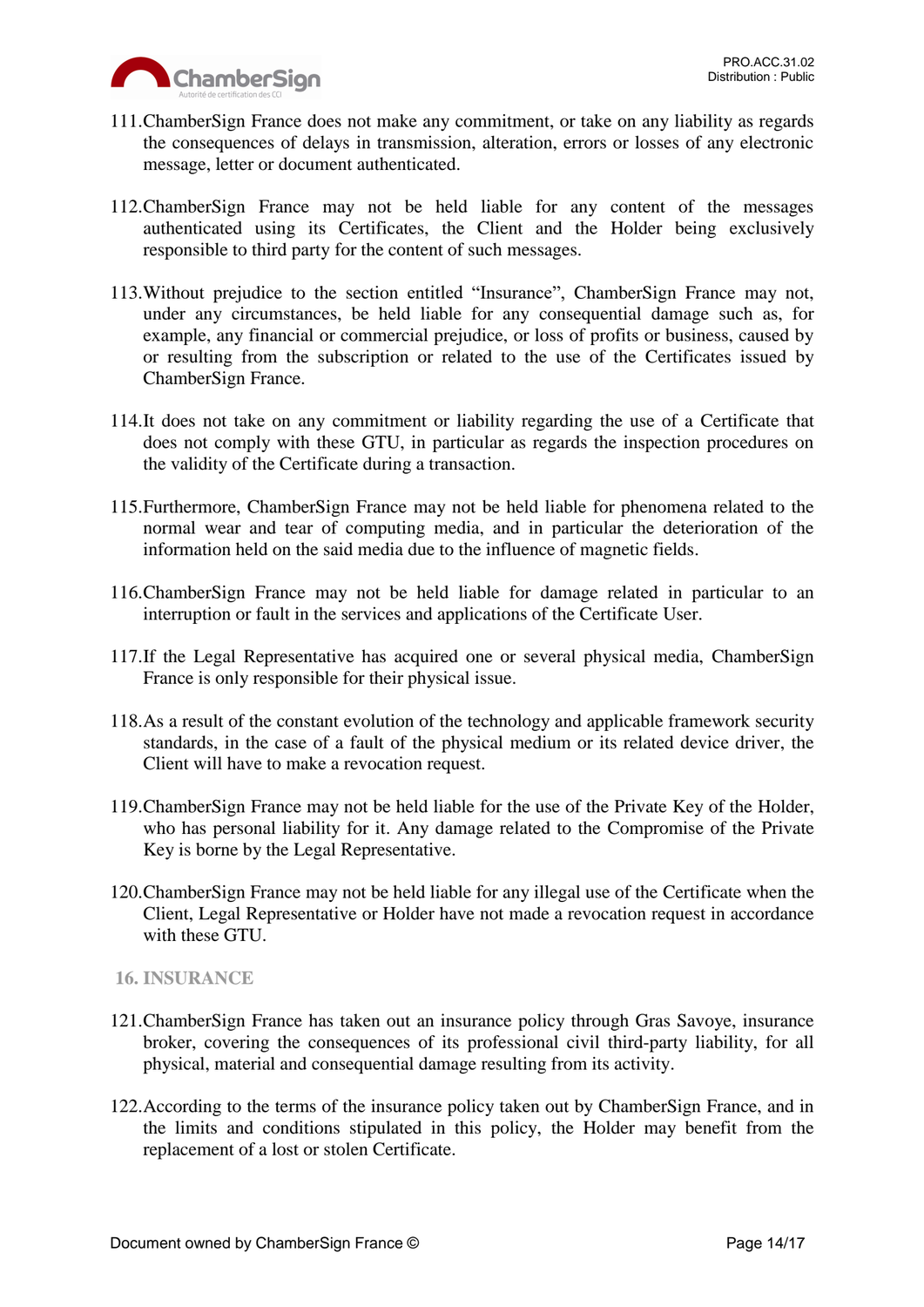

- 111.ChamberSign France does not make any commitment, or take on any liability as regards the consequences of delays in transmission, alteration, errors or losses of any electronic message, letter or document authenticated.
- 112.ChamberSign France may not be held liable for any content of the messages authenticated using its Certificates, the Client and the Holder being exclusively responsible to third party for the content of such messages.
- 113.Without prejudice to the section entitled "Insurance", ChamberSign France may not, under any circumstances, be held liable for any consequential damage such as, for example, any financial or commercial prejudice, or loss of profits or business, caused by or resulting from the subscription or related to the use of the Certificates issued by ChamberSign France.
- 114.It does not take on any commitment or liability regarding the use of a Certificate that does not comply with these GTU, in particular as regards the inspection procedures on the validity of the Certificate during a transaction.
- 115.Furthermore, ChamberSign France may not be held liable for phenomena related to the normal wear and tear of computing media, and in particular the deterioration of the information held on the said media due to the influence of magnetic fields.
- 116.ChamberSign France may not be held liable for damage related in particular to an interruption or fault in the services and applications of the Certificate User.
- 117.If the Legal Representative has acquired one or several physical media, ChamberSign France is only responsible for their physical issue.
- 118.As a result of the constant evolution of the technology and applicable framework security standards, in the case of a fault of the physical medium or its related device driver, the Client will have to make a revocation request.
- 119.ChamberSign France may not be held liable for the use of the Private Key of the Holder, who has personal liability for it. Any damage related to the Compromise of the Private Key is borne by the Legal Representative.
- 120.ChamberSign France may not be held liable for any illegal use of the Certificate when the Client, Legal Representative or Holder have not made a revocation request in accordance with these GTU.

# <span id="page-13-0"></span>**16. INSURANCE**

- 121.ChamberSign France has taken out an insurance policy through Gras Savoye, insurance broker, covering the consequences of its professional civil third-party liability, for all physical, material and consequential damage resulting from its activity.
- 122.According to the terms of the insurance policy taken out by ChamberSign France, and in the limits and conditions stipulated in this policy, the Holder may benefit from the replacement of a lost or stolen Certificate.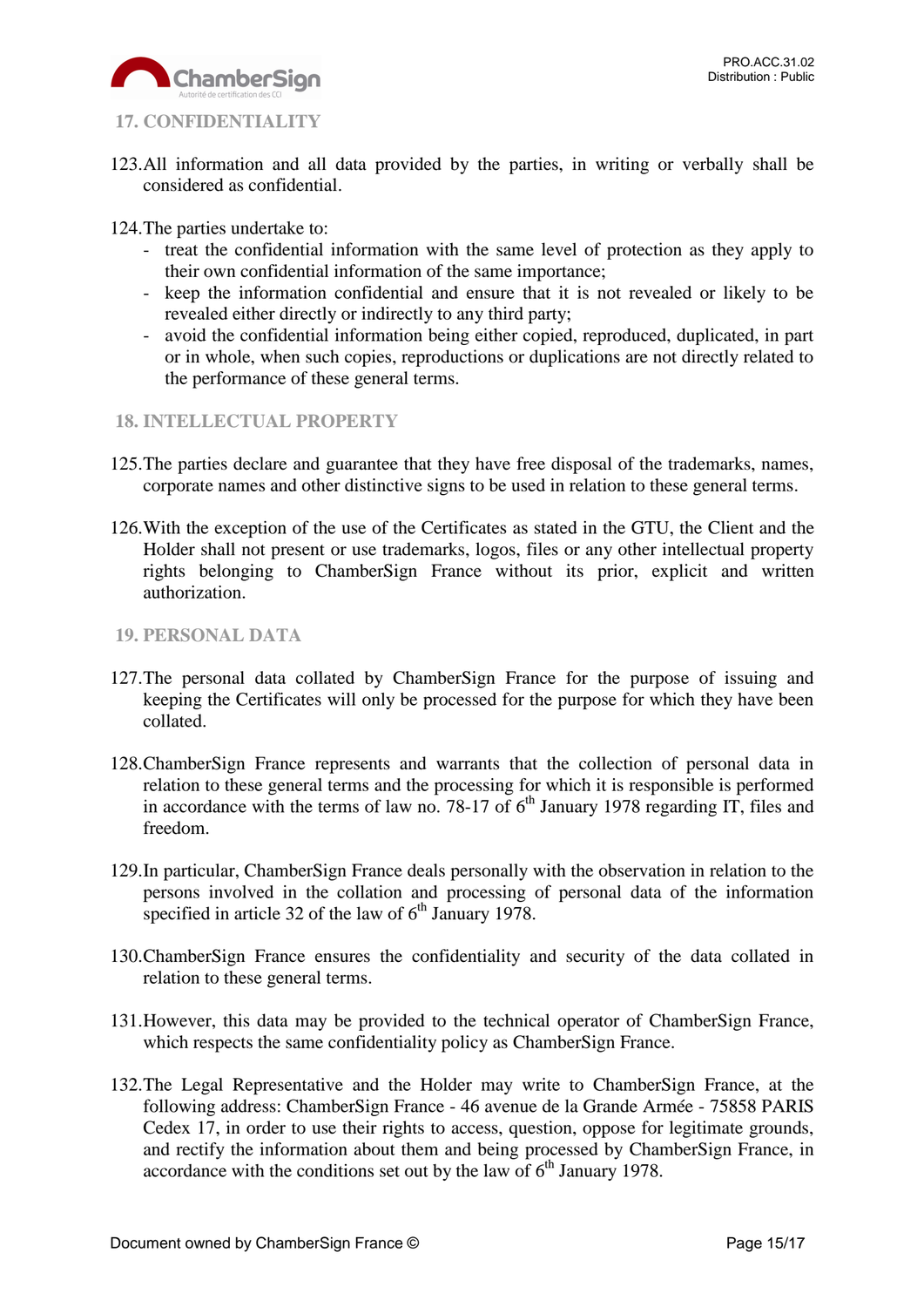

# <span id="page-14-0"></span>**17. CONFIDENTIALITY**

- 123.All information and all data provided by the parties, in writing or verbally shall be considered as confidential.
- 124.The parties undertake to:
	- treat the confidential information with the same level of protection as they apply to their own confidential information of the same importance;
	- keep the information confidential and ensure that it is not revealed or likely to be revealed either directly or indirectly to any third party;
	- avoid the confidential information being either copied, reproduced, duplicated, in part or in whole, when such copies, reproductions or duplications are not directly related to the performance of these general terms.
- <span id="page-14-1"></span>**18. INTELLECTUAL PROPERTY**
- 125.The parties declare and guarantee that they have free disposal of the trademarks, names, corporate names and other distinctive signs to be used in relation to these general terms.
- 126.With the exception of the use of the Certificates as stated in the GTU, the Client and the Holder shall not present or use trademarks, logos, files or any other intellectual property rights belonging to ChamberSign France without its prior, explicit and written authorization.
- <span id="page-14-2"></span>**19. PERSONAL DATA**
- 127.The personal data collated by ChamberSign France for the purpose of issuing and keeping the Certificates will only be processed for the purpose for which they have been collated.
- 128.ChamberSign France represents and warrants that the collection of personal data in relation to these general terms and the processing for which it is responsible is performed in accordance with the terms of law no. 78-17 of  $6<sup>th</sup>$  January 1978 regarding IT, files and freedom.
- 129.In particular, ChamberSign France deals personally with the observation in relation to the persons involved in the collation and processing of personal data of the information specified in article 32 of the law of  $6<sup>th</sup>$  January 1978.
- 130.ChamberSign France ensures the confidentiality and security of the data collated in relation to these general terms.
- 131.However, this data may be provided to the technical operator of ChamberSign France, which respects the same confidentiality policy as ChamberSign France.
- 132.The Legal Representative and the Holder may write to ChamberSign France, at the following address: ChamberSign France - 46 avenue de la Grande Armée - 75858 PARIS Cedex 17, in order to use their rights to access, question, oppose for legitimate grounds, and rectify the information about them and being processed by ChamberSign France, in accordance with the conditions set out by the law of  $6<sup>th</sup>$  January 1978.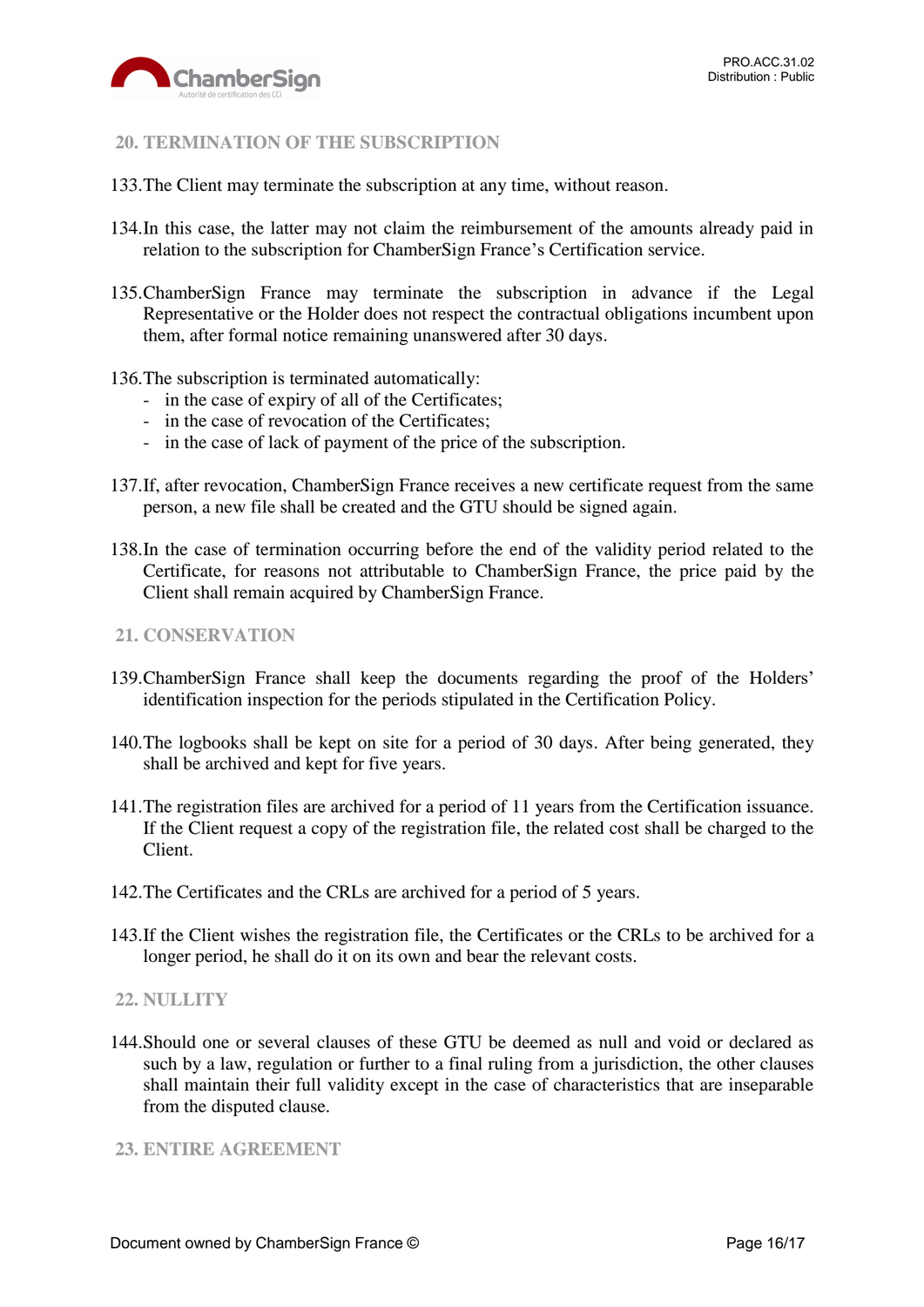

## <span id="page-15-0"></span>**20. TERMINATION OF THE SUBSCRIPTION**

- 133.The Client may terminate the subscription at any time, without reason.
- 134.In this case, the latter may not claim the reimbursement of the amounts already paid in relation to the subscription for ChamberSign France's Certification service.
- 135.ChamberSign France may terminate the subscription in advance if the Legal Representative or the Holder does not respect the contractual obligations incumbent upon them, after formal notice remaining unanswered after 30 days.
- 136.The subscription is terminated automatically:
	- in the case of expiry of all of the Certificates;
	- in the case of revocation of the Certificates;
	- in the case of lack of payment of the price of the subscription.
- 137.If, after revocation, ChamberSign France receives a new certificate request from the same person, a new file shall be created and the GTU should be signed again.
- 138.In the case of termination occurring before the end of the validity period related to the Certificate, for reasons not attributable to ChamberSign France, the price paid by the Client shall remain acquired by ChamberSign France.

#### <span id="page-15-1"></span>**21. CONSERVATION**

- 139.ChamberSign France shall keep the documents regarding the proof of the Holders' identification inspection for the periods stipulated in the Certification Policy.
- 140.The logbooks shall be kept on site for a period of 30 days. After being generated, they shall be archived and kept for five years.
- 141.The registration files are archived for a period of 11 years from the Certification issuance. If the Client request a copy of the registration file, the related cost shall be charged to the Client.
- 142.The Certificates and the CRLs are archived for a period of 5 years.
- 143.If the Client wishes the registration file, the Certificates or the CRLs to be archived for a longer period, he shall do it on its own and bear the relevant costs.

#### <span id="page-15-2"></span>**22. NULLITY**

144.Should one or several clauses of these GTU be deemed as null and void or declared as such by a law, regulation or further to a final ruling from a jurisdiction, the other clauses shall maintain their full validity except in the case of characteristics that are inseparable from the disputed clause.

#### <span id="page-15-3"></span>**23. ENTIRE AGREEMENT**